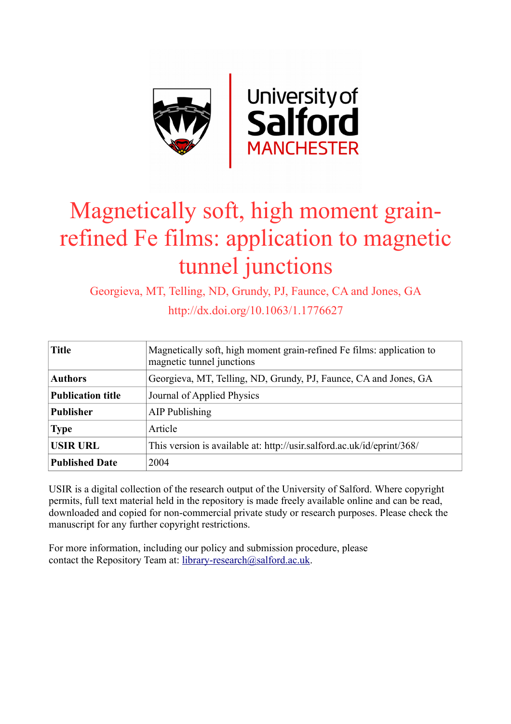

# Magnetically soft, high moment grainrefined Fe films: application to magnetic tunnel junctions

Georgieva, MT, Telling, ND, Grundy, PJ, Faunce, CA and Jones, GA

http://dx.doi.org/10.1063/1.1776627

| <b>Title</b>             | Magnetically soft, high moment grain-refined Fe films: application to<br>magnetic tunnel junctions |  |  |  |
|--------------------------|----------------------------------------------------------------------------------------------------|--|--|--|
| <b>Authors</b>           | Georgieva, MT, Telling, ND, Grundy, PJ, Faunce, CA and Jones, GA                                   |  |  |  |
| <b>Publication title</b> | Journal of Applied Physics                                                                         |  |  |  |
| <b>Publisher</b>         | AIP Publishing                                                                                     |  |  |  |
| <b>Type</b>              | Article                                                                                            |  |  |  |
| <b>USIR URL</b>          | This version is available at: http://usir.salford.ac.uk/id/eprint/368/                             |  |  |  |
| <b>Published Date</b>    | 2004                                                                                               |  |  |  |

USIR is a digital collection of the research output of the University of Salford. Where copyright permits, full text material held in the repository is made freely available online and can be read, downloaded and copied for non-commercial private study or research purposes. Please check the manuscript for any further copyright restrictions.

For more information, including our policy and submission procedure, please contact the Repository Team at: [library-research@salford.ac.uk.](mailto:library-research@salford.ac.uk)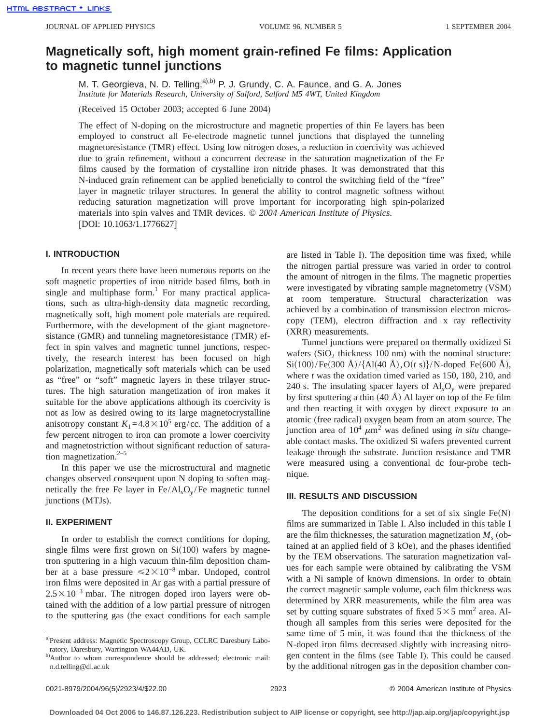# **Magnetically soft, high moment grain-refined Fe films: Application to magnetic tunnel junctions**

M. T. Georgieva, N. D. Telling,<sup>a),b)</sup> P. J. Grundy, C. A. Faunce, and G. A. Jones *Institute for Materials Research, University of Salford, Salford M5 4WT, United Kingdom*

(Received 15 October 2003; accepted 6 June 2004)

The effect of N-doping on the microstructure and magnetic properties of thin Fe layers has been employed to construct all Fe-electrode magnetic tunnel junctions that displayed the tunneling magnetoresistance (TMR) effect. Using low nitrogen doses, a reduction in coercivity was achieved due to grain refinement, without a concurrent decrease in the saturation magnetization of the Fe films caused by the formation of crystalline iron nitride phases. It was demonstrated that this N-induced grain refinement can be applied beneficially to control the switching field of the "free" layer in magnetic trilayer structures. In general the ability to control magnetic softness without reducing saturation magnetization will prove important for incorporating high spin-polarized materials into spin valves and TMR devices. © *2004 American Institute of Physics*. [DOI: 10.1063/1.1776627]

#### **I. INTRODUCTION**

In recent years there have been numerous reports on the soft magnetic properties of iron nitride based films, both in single and multiphase form.<sup>1</sup> For many practical applications, such as ultra-high-density data magnetic recording, magnetically soft, high moment pole materials are required. Furthermore, with the development of the giant magnetoresistance (GMR) and tunneling magnetoresistance (TMR) effect in spin valves and magnetic tunnel junctions, respectively, the research interest has been focused on high polarization, magnetically soft materials which can be used as "free" or "soft" magnetic layers in these trilayer structures. The high saturation mangetization of iron makes it suitable for the above applications although its coercivity is not as low as desired owing to its large magnetocrystalline anisotropy constant  $K_1 = 4.8 \times 10^5$  erg/cc. The addition of a few percent nitrogen to iron can promote a lower coercivity and magnetostriction without significant reduction of saturation magnetization. $2-5$ 

In this paper we use the microstructural and magnetic changes observed consequent upon N doping to soften magnetically the free Fe layer in  $Fe/Al<sub>x</sub>O<sub>y</sub>/Fe$  magnetic tunnel junctions (MTJs).

## **II. EXPERIMENT**

In order to establish the correct conditions for doping, single films were first grown on  $Si(100)$  wafers by magnetron sputtering in a high vacuum thin-film deposition chamber at a base pressure  $\leq 2 \times 10^{-8}$  mbar. Undoped, control iron films were deposited in Ar gas with a partial pressure of  $2.5 \times 10^{-3}$  mbar. The nitrogen doped iron layers were obtained with the addition of a low partial pressure of nitrogen to the sputtering gas (the exact conditions for each sample are listed in Table I). The deposition time was fixed, while the nitrogen partial pressure was varied in order to control the amount of nitrogen in the films. The magnetic properties were investigated by vibrating sample magnetometry (VSM) at room temperature. Structural characterization was achieved by a combination of transmission electron microscopy (TEM), electron diffraction and x ray reflectivity (XRR) measurements.

Tunnel junctions were prepared on thermally oxidized Si wafers  $(SiO<sub>2</sub>$  thickness 100 nm) with the nominal structure:  $Si(100)/Fe(300 \text{ Å})/\lbrace Al(40 \text{ Å}),O(t \text{ s})\rbrace/N$ -doped Fe $(600 \text{ Å})$ , where *t* was the oxidation timed varied as 150, 180, 210, and 240 s. The insulating spacer layers of Al*x*O*<sup>y</sup>* were prepared by first sputtering a thin  $(40 \text{ Å})$  Al layer on top of the Fe film and then reacting it with oxygen by direct exposure to an atomic (free radical) oxygen beam from an atom source. The junction area of  $10^4 \mu m^2$  was defined using *in situ* changeable contact masks. The oxidized Si wafers prevented current leakage through the substrate. Junction resistance and TMR were measured using a conventional dc four-probe technique.

#### **III. RESULTS AND DISCUSSION**

The deposition conditions for a set of six single  $Fe(N)$ films are summarized in Table I. Also included in this table I are the film thicknesses, the saturation magnetization  $M_{s}$  (obtained at an applied field of 3 kOe), and the phases identified by the TEM observations. The saturation magnetization values for each sample were obtained by calibrating the VSM with a Ni sample of known dimensions. In order to obtain the correct magnetic sample volume, each film thickness was determined by XRR measurements, while the film area was set by cutting square substrates of fixed  $5\times5$  mm<sup>2</sup> area. Although all samples from this series were deposited for the same time of 5 min, it was found that the thickness of the N-doped iron films decreased slightly with increasing nitrogen content in the films (see Table I). This could be caused by the additional nitrogen gas in the deposition chamber con-

a)Present address: Magnetic Spectroscopy Group, CCLRC Daresbury Laboratory, Daresbury, Warrington WA44AD, UK.

b)Author to whom correspondence should be addressed; electronic mail: n.d.telling@dl.ac.uk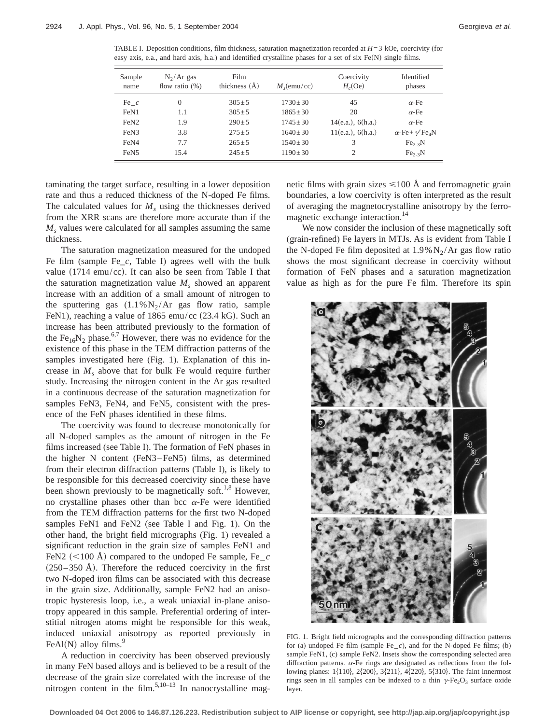TABLE I. Deposition conditions, film thickness, saturation magnetization recorded at *H*=3 kOe, coercivity (for easy axis, e.a., and hard axis, h.a.) and identified crystalline phases for a set of six  $Fe(N)$  single films.

| Sample<br>name   | $N_2/Ar$ gas<br>flow ratio $(\%)$ | Film<br>thickness $(\AA)$ | $M_s$ (emu/cc) | Coercivity<br>H <sub>c</sub> (Oe) | Identified<br>phases                      |
|------------------|-----------------------------------|---------------------------|----------------|-----------------------------------|-------------------------------------------|
| Fe $c$           | $\theta$                          | $305 \pm 5$               | $1730 \pm 30$  | 45                                | $\alpha$ -Fe                              |
| FeN1             | 1.1                               | $305 \pm 5$               | $1865 \pm 30$  | 20                                | $\alpha$ -Fe                              |
| FeN <sub>2</sub> | 1.9                               | $290 \pm 5$               | $1745 \pm 30$  | 14(e.a.), 6(h.a.)                 | $\alpha$ -Fe                              |
| FeN3             | 3.8                               | $275 + 5$                 | $1640 + 30$    | 11(e.a.), 6(h.a.)                 | $\alpha$ -Fe+ $\gamma$ 'Fe <sub>4</sub> N |
| FeN4             | 7.7                               | $265 \pm 5$               | $1540 \pm 30$  | 3                                 | $Fe2-3N$                                  |
| FeN <sub>5</sub> | 15.4                              | $245 + 5$                 | $1190 \pm 30$  | 2                                 | $Fe2-3N$                                  |

taminating the target surface, resulting in a lower deposition rate and thus a reduced thickness of the N-doped Fe films. The calculated values for  $M<sub>s</sub>$  using the thicknesses derived from the XRR scans are therefore more accurate than if the *M<sub>s</sub>* values were calculated for all samples assuming the same thickness.

The saturation magnetization measured for the undoped Fe film (sample Fe\_*c*, Table I) agrees well with the bulk value  $(1714 \text{ emu/cc})$ . It can also be seen from Table I that the saturation magnetization value  $M_s$  showed an apparent increase with an addition of a small amount of nitrogen to the sputtering gas  $(1.1\% N_2/Ar)$  gas flow ratio, sample FeN1), reaching a value of 1865 emu/cc (23.4 kG). Such an increase has been attributed previously to the formation of the Fe<sub>16</sub>N<sub>2</sub> phase.<sup>6,7</sup> However, there was no evidence for the existence of this phase in the TEM diffraction patterns of the samples investigated here (Fig. 1). Explanation of this increase in  $M_s$  above that for bulk Fe would require further study. Increasing the nitrogen content in the Ar gas resulted in a continuous decrease of the saturation magnetization for samples FeN3, FeN4, and FeN5, consistent with the presence of the FeN phases identified in these films.

The coercivity was found to decrease monotonically for all N-doped samples as the amount of nitrogen in the Fe films increased (see Table I). The formation of FeN phases in the higher N content (FeN3–FeN5) films, as determined from their electron diffraction patterns (Table I), is likely to be responsible for this decreased coercivity since these have been shown previously to be magnetically soft.<sup>1,8</sup> However, no crystalline phases other than bcc  $\alpha$ -Fe were identified from the TEM diffraction patterns for the first two N-doped samples FeN1 and FeN2 (see Table I and Fig. 1). On the other hand, the bright field micrographs (Fig. 1) revealed a significant reduction in the grain size of samples FeN1 and FeN2 ( $\leq$ 100 Å) compared to the undoped Fe sample, Fe<sub>c</sub>  $(250-350 \text{ Å})$ . Therefore the reduced coercivity in the first two N-doped iron films can be associated with this decrease in the grain size. Additionally, sample FeN2 had an anisotropic hysteresis loop, i.e., a weak uniaxial in-plane anisotropy appeared in this sample. Preferential ordering of interstitial nitrogen atoms might be responsible for this weak, induced uniaxial anisotropy as reported previously in FeAl $(N)$  alloy films.<sup>9</sup>

A reduction in coercivity has been observed previously in many FeN based alloys and is believed to be a result of the decrease of the grain size correlated with the increase of the nitrogen content in the film.<sup>5,10–13</sup> In nanocrystalline magnetic films with grain sizes  $\leq 100$  Å and ferromagnetic grain boundaries, a low coercivity is often interpreted as the result of averaging the magnetocrystalline anisotropy by the ferromagnetic exchange interaction.<sup>14</sup>

We now consider the inclusion of these magnetically soft (grain-refined) Fe layers in MTJs. As is evident from Table I the N-doped Fe film deposited at  $1.9\%$  N<sub>2</sub>/Ar gas flow ratio shows the most significant decrease in coercivity without formation of FeN phases and a saturation magnetization value as high as for the pure Fe film. Therefore its spin



FIG. 1. Bright field micrographs and the corresponding diffraction patterns for (a) undoped Fe film (sample  $Fe_{c}$ ), and for the N-doped Fe films; (b) sample FeN1, (c) sample FeN2. Insets show the corresponding selected area diffraction patterns.  $\alpha$ -Fe rings are designated as reflections from the following planes: 1{110}, 2{200}, 3{211}, 4{220}, 5{310}. The faint innermost rings seen in all samples can be indexed to a thin  $\gamma$ -Fe<sub>2</sub>O<sub>3</sub> surface oxide layer.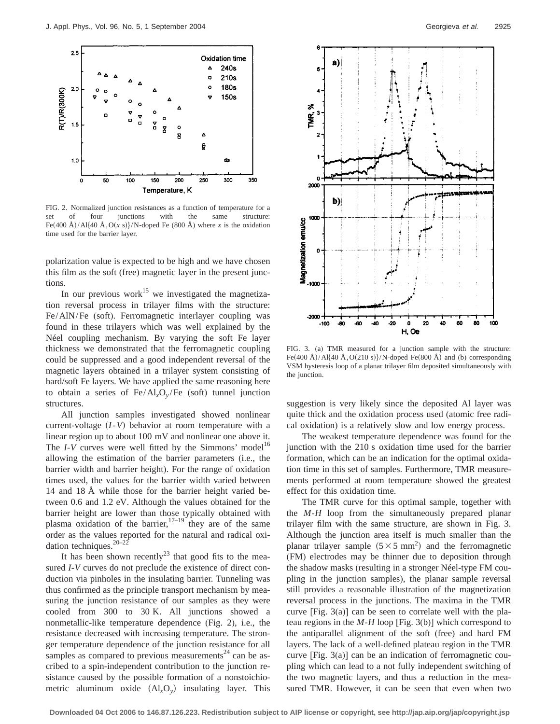

FIG. 2. Normalized junction resistances as a function of temperature for a set of four junctions with the same structure: Fe(400 Å)/Al{40 Å, O(x s)}/N-doped Fe (800 Å) where x is the oxidation time used for the barrier layer.

polarization value is expected to be high and we have chosen this film as the soft (free) magnetic layer in the present junctions.

In our previous work<sup>15</sup> we investigated the magnetization reversal process in trilayer films with the structure: Fe/AlN/Fe (soft). Ferromagnetic interlayer coupling was found in these trilayers which was well explained by the Néel coupling mechanism. By varying the soft Fe layer thickness we demonstrated that the ferromagnetic coupling could be suppressed and a good independent reversal of the magnetic layers obtained in a trilayer system consisting of hard/soft Fe layers. We have applied the same reasoning here to obtain a series of Fe/Al*x*O*<sup>y</sup>* /Fe (soft) tunnel junction structures.

All junction samples investigated showed nonlinear current-voltage  $(I-V)$  behavior at room temperature with a linear region up to about 100 mV and nonlinear one above it. The  $I-V$  curves were well fitted by the Simmons' model<sup>16</sup> allowing the estimation of the barrier parameters (i.e., the barrier width and barrier height). For the range of oxidation times used, the values for the barrier width varied between 14 and 18 Å while those for the barrier height varied between 0.6 and 1.2 eV. Although the values obtained for the barrier height are lower than those typically obtained with plasma oxidation of the barrier,<sup>17–19</sup> they are of the same order as the values reported for the natural and radical oxidation techniques.<sup>20–22</sup>

It has been shown recently<sup>23</sup> that good fits to the measured *I*-*V* curves do not preclude the existence of direct conduction via pinholes in the insulating barrier. Tunneling was thus confirmed as the principle transport mechanism by measuring the junction resistance of our samples as they were cooled from 300 to 30 K. All junctions showed a nonmetallic-like temperature dependence (Fig. 2), i.e., the resistance decreased with increasing temperature. The stronger temperature dependence of the junction resistance for all samples as compared to previous measurements $24$  can be ascribed to a spin-independent contribution to the junction resistance caused by the possible formation of a nonstoichiometric aluminum oxide  $(Al_xO_y)$  insulating layer. This



FIG. 3. (a) TMR measured for a junction sample with the structure: Fe(400 Å)/Al{40 Å, O(210 s)}/N-doped Fe(800 Å) and (b) corresponding VSM hysteresis loop of a planar trilayer film deposited simultaneously with the junction.

suggestion is very likely since the deposited Al layer was quite thick and the oxidation process used (atomic free radical oxidation) is a relatively slow and low energy process.

The weakest temperature dependence was found for the junction with the 210 s oxidation time used for the barrier formation, which can be an indication for the optimal oxidation time in this set of samples. Furthermore, TMR measurements performed at room temperature showed the greatest effect for this oxidation time.

The TMR curve for this optimal sample, together with the *M*-*H* loop from the simultaneously prepared planar trilayer film with the same structure, are shown in Fig. 3. Although the junction area itself is much smaller than the planar trilayer sample  $(5 \times 5 \text{ mm}^2)$  and the ferromagnetic (FM) electrodes may be thinner due to deposition through the shadow masks (resulting in a stronger Néel-type FM coupling in the junction samples), the planar sample reversal still provides a reasonable illustration of the magnetization reversal process in the junctions. The maxima in the TMR curve [Fig. 3(a)] can be seen to correlate well with the plateau regions in the *M*-*H* loop [Fig. 3(b)] which correspond to the antiparallel alignment of the soft (free) and hard FM layers. The lack of a well-defined plateau region in the TMR curve [Fig. 3(a)] can be an indication of ferromagnetic coupling which can lead to a not fully independent switching of the two magnetic layers, and thus a reduction in the measured TMR. However, it can be seen that even when two